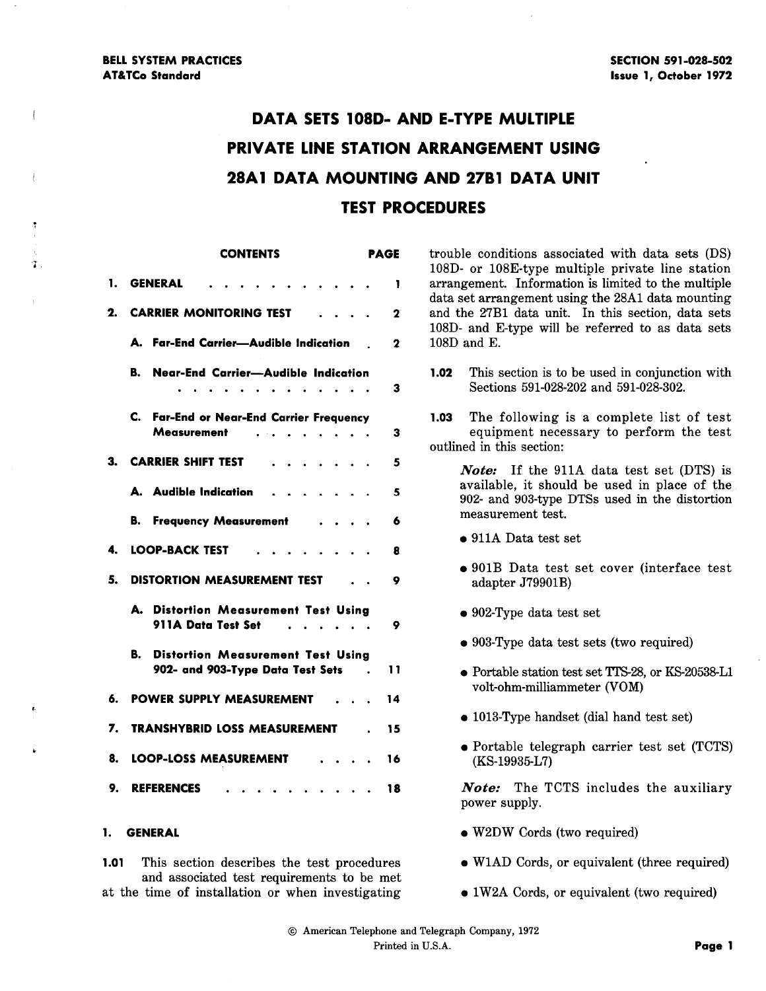Ť.

# DATA SETS 108D- AND E-TYPE MULTIPLE PRIVATE LINE STATION ARRANGEMENT USING **28A1 DATA MOUNTING AND 27B1 DATA UNIT** TEST PROCEDURES

|    | <b>CONTENTS</b>                                                                      | PAGE        |
|----|--------------------------------------------------------------------------------------|-------------|
| 1. | <b>GENERAL</b>                                                                       | 1           |
| 2. | <b>CARRIER MONITORING TEST</b>                                                       | 2           |
|    | A. Far-End Carrier-Audible Indication                                                | $\mathbf 2$ |
|    | Near-End Carrier-Audible Indication<br>B.<br>.<br>$\ddot{\phantom{a}}$               | 3           |
|    | C. Far-End or Near-End Carrier Frequency<br>Measurement                              | 3           |
| 3. | <b>CARRIER SHIFT TEST</b><br>$\mathbf{a} = \mathbf{a} + \mathbf{a}$                  | 5           |
|    | A. Audible Indication                                                                | 5           |
|    | В.<br><b>Frequency Measurement</b>                                                   | 6           |
| 4. | LOOP-BACK TEST<br>$\mathbf{r} = \mathbf{r} + \mathbf{r} + \mathbf{r}$<br>$\sim$      | 8           |
| 5. | <b>DISTORTION MEASUREMENT TEST</b>                                                   | ۰           |
|    | А.<br><b>Distortion Measurement Test Using</b><br>911A Data Test Set<br>.            | 9           |
|    | В.<br><b>Distortion Measurement Test Using</b><br>902- and 903-Type Data Test Sets . | 11          |
| 6. | <b>POWER SUPPLY MEASUREMENT</b>                                                      | 14          |
| 7. | <b>TRANSHYBRID LOSS MEASUREMENT</b>                                                  | 15          |
| 8. | <b>LOOP-LOSS MEASUREMENT</b>                                                         | 16          |
| 9. | <b>REFERENCES</b>                                                                    | 18          |

#### 1. GENERAL

1.01 This section describes the test procedures and associated test requirements to be met at the time of installation or when investigating

trouble conditions associated with data sets (DS) 108D- or 108E-type multiple private line station arrangement. Information is limited to the multiple data set arrangement using the 28A1 data mounting and the 27B1 data unit. In this section, data sets 108D- and E-type will be referred to as data sets 108D and E.

1.02 This section is to be used in conjunction with Sections 591-028-202 and 591-028-302.

1.03 The following is a complete list of test equipment necessary to perform the test outlined in this section:

*Note:* If the 911A data test set (DTS) is available, it should be used in place of the 902- and 903-type DTSs used in the distortion measurement test.

- 911A Data test set
- 901B Data test set cover (interface test adapter J79901B)
- 902-Type data test set
- 903-Type data test sets (two required)
- Portable station test set TTS-28, or KS-20538-L1 volt-ohm-milliammeter (VOM)
- 1013-Type handset (dial hand test set)
- Portable telegraph carrier test set (TCTS) (KS-19935-L7)

*Note:* The TCTS includes the auxiliary power supply.

- W2DW Cords (two required)
- W1AD Cords, or equivalent (three required)
- 1W2A Cords, or equivalent (two required)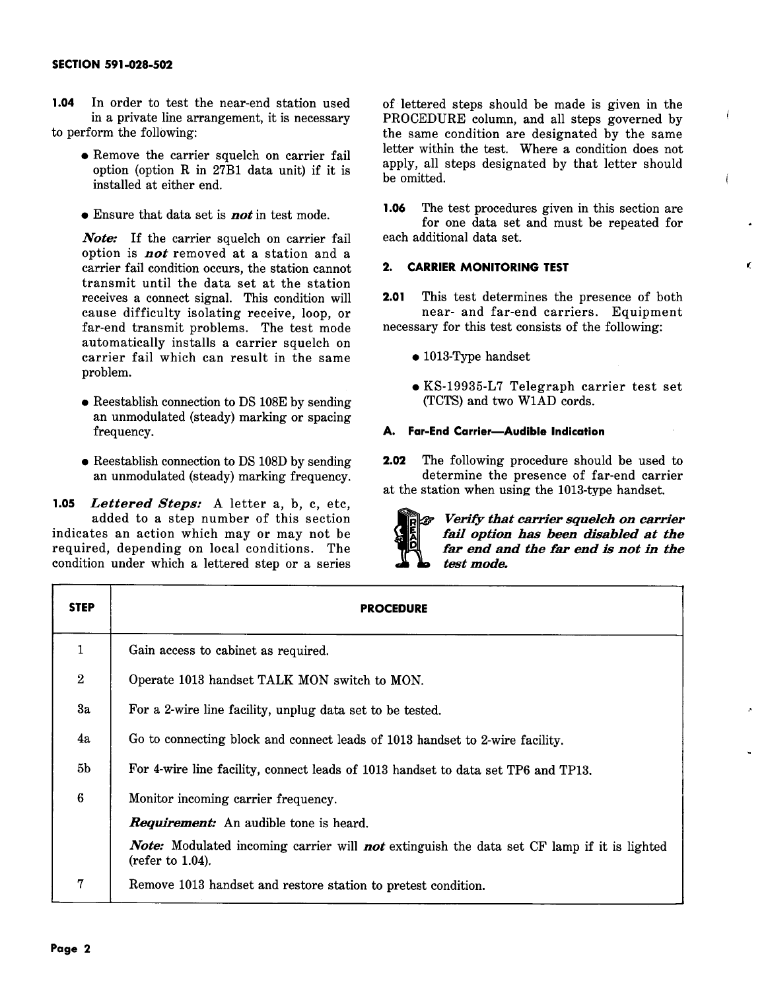- **1.04** In order to test the near-end station used in a private line arrangement, it is necessary to perform the following:
	- Remove the carrier squelch on carrier fail option (option R in 27B1 data unit) if it is installed at either end.
	- Ensure that data set is *not* in test mode.

*Note:* If the carrier squelch on carrier fail option is *not* removed at a station and <sup>a</sup> carrier fail condition occurs, the station cannot transmit until the data set at the station receives a connect signal. This condition will cause difficulty isolating receive, loop, or far-end transmit problems. The test mode automatically installs a carrier squelch on carrier fail which can result in the same problem.

- Reestablish connection to DS 108E by sending an unmodulated (steady) marking or spacing frequency.
- Reestablish connection to DS 108D by sending an unmodulated (steady) marking frequency.

**1.05** *Lettered Steps:* A letter a, b, c, etc, added to a step number of this section indicates an action which may or may not be required, depending on local conditions. The condition under which a lettered step or a series

of lettered steps should be made is given in the PROCEDURE column, and all steps governed by the same condition are designated by the same letter within the test. Where a condition does not apply, all steps designated by that letter should be omitted.

**1.06** The test procedures given in this section are for one data set and must be repeated for each additional data set.

 $\epsilon$ 

# **2. CARRIER MONITORING TEST**

**2.01** This test determines the presence of both near- and far-end carriers. Equipment necessary for this test consists of the following:

- 1013-Type handset
- KS-19935-L7 Telegraph carrier test set (TCTS) and two W1AD cords.

# **A. Far-End Carrier--Audible Indication**

**2.02** The following procedure should be used to determine the presence of far-end carrier at the station when using the 1013-type handset.



*Verify that carrier squelch on carrier fail option bas been disabled at the far end and the far end is not in the test mode.* 

| <b>STEP</b>    | <b>PROCEDURE</b>                                                                                                  |
|----------------|-------------------------------------------------------------------------------------------------------------------|
| 1              | Gain access to cabinet as required.                                                                               |
| $\overline{2}$ | Operate 1013 handset TALK MON switch to MON.                                                                      |
| 3a             | For a 2-wire line facility, unplug data set to be tested.                                                         |
| 4a             | Go to connecting block and connect leads of 1013 handset to 2-wire facility.                                      |
| 5 <sub>b</sub> | For 4-wire line facility, connect leads of 1013 handset to data set TP6 and TP13.                                 |
| $\bf 6$        | Monitor incoming carrier frequency.                                                                               |
|                | <b>Requirement:</b> An audible tone is heard.                                                                     |
|                | Note: Modulated incoming carrier will not extinguish the data set CF lamp if it is lighted<br>(refer to $1.04$ ). |
| 7              | Remove 1013 handset and restore station to pretest condition.                                                     |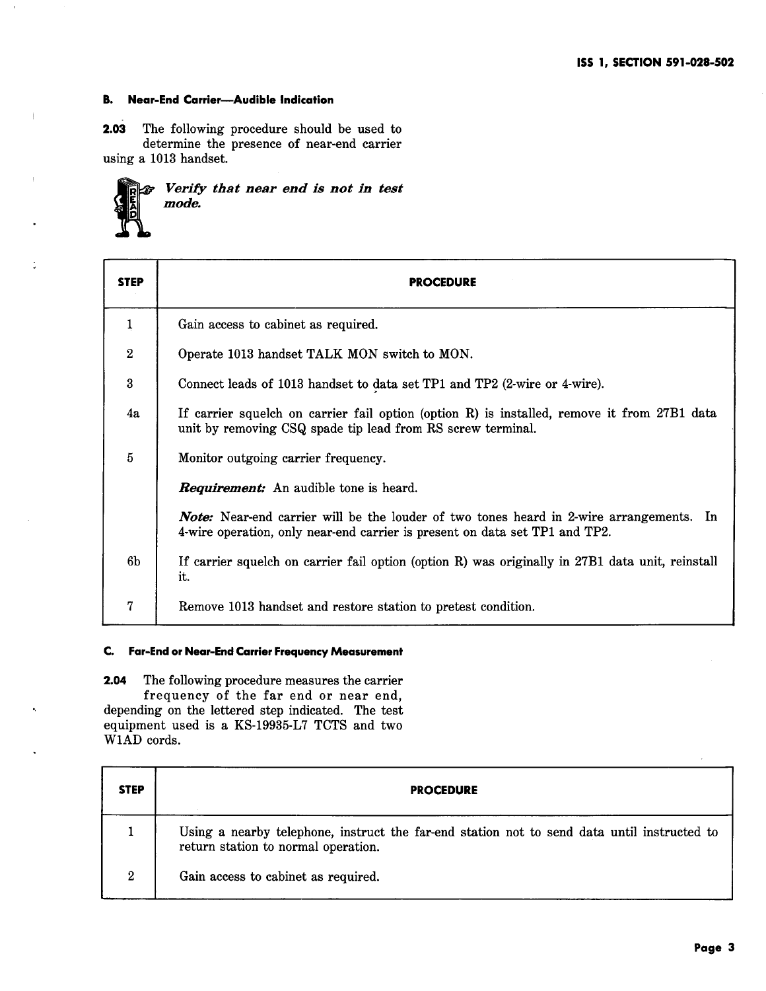### **B. Near-End Carrier-Audible Indication**

**2.03** The following procedure should be used to determine the presence of near-end carrier using a 1013 handset.

| <b>The Second Verify that near end is not in test</b><br>mode. |  |  |  |  |
|----------------------------------------------------------------|--|--|--|--|
|                                                                |  |  |  |  |

| <b>STEP</b>    | <b>PROCEDURE</b>                                                                                                                                                              |
|----------------|-------------------------------------------------------------------------------------------------------------------------------------------------------------------------------|
| $\mathbf 1$    | Gain access to cabinet as required.                                                                                                                                           |
| $\overline{2}$ | Operate 1013 handset TALK MON switch to MON.                                                                                                                                  |
| 3              | Connect leads of 1013 handset to data set TP1 and TP2 (2-wire or 4-wire).                                                                                                     |
| 4a             | If carrier squelch on carrier fail option (option R) is installed, remove it from 27B1 data<br>unit by removing CSQ spade tip lead from RS screw terminal.                    |
| $\overline{5}$ | Monitor outgoing carrier frequency.                                                                                                                                           |
|                | <b>Requirement:</b> An audible tone is heard.                                                                                                                                 |
|                | <b>Note:</b> Near-end carrier will be the louder of two tones heard in 2-wire arrangements. In<br>4-wire operation, only near-end carrier is present on data set TP1 and TP2. |
| 6b             | If carrier squelch on carrier fail option (option R) was originally in 27B1 data unit, reinstall<br>it.                                                                       |
| $\overline{7}$ | Remove 1013 handset and restore station to pretest condition.                                                                                                                 |

#### **C. Far-End or Near-End Carrier Frequency Measurement**

**2.04** The following procedure measures the carrier frequency of the far end or near end, depending on the lettered step indicated. The test equipment used is a KS-19935-L7 TCTS and two W1AD cords.

| <b>STEP</b>      | <b>PROCEDURE</b>                                                                                                                   |
|------------------|------------------------------------------------------------------------------------------------------------------------------------|
|                  | Using a nearby telephone, instruct the far-end station not to send data until instructed to<br>return station to normal operation. |
| $\boldsymbol{2}$ | Gain access to cabinet as required.                                                                                                |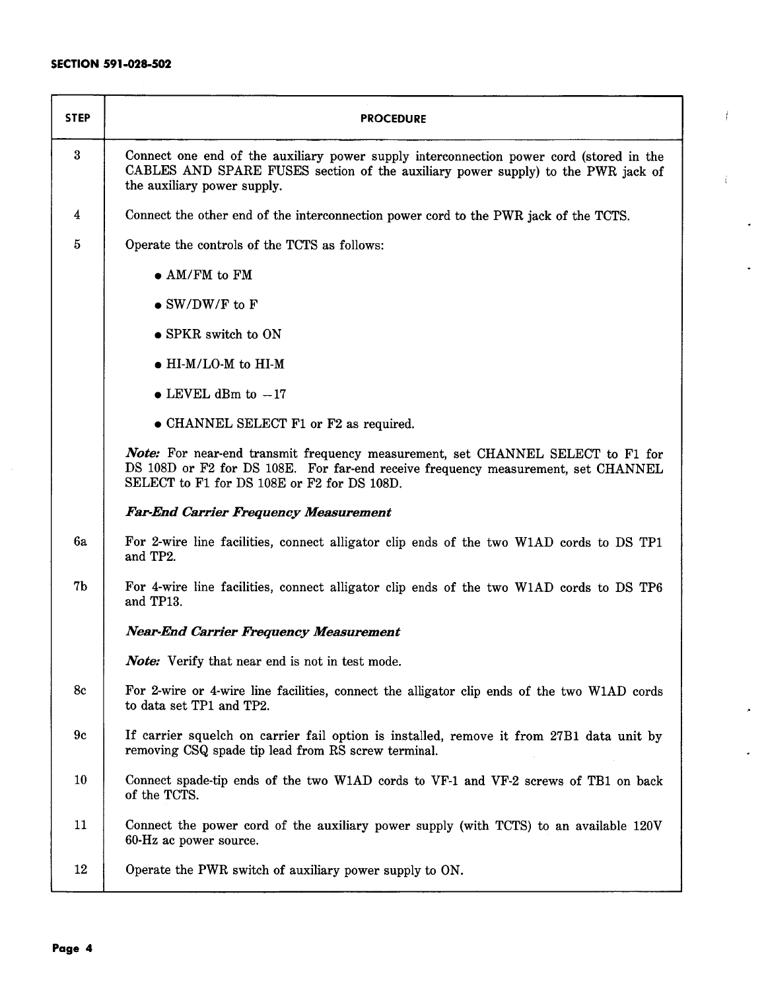| <b>STEP</b>    | <b>PROCEDURE</b>                                                                                                                                                                                                    |
|----------------|---------------------------------------------------------------------------------------------------------------------------------------------------------------------------------------------------------------------|
| $\bf{3}$       | Connect one end of the auxiliary power supply interconnection power cord (stored in the<br>CABLES AND SPARE FUSES section of the auxiliary power supply) to the PWR jack of<br>the auxiliary power supply.          |
| 4              | Connect the other end of the interconnection power cord to the PWR jack of the TCTS.                                                                                                                                |
| 5              | Operate the controls of the TCTS as follows:                                                                                                                                                                        |
|                | $\bullet$ AM/FM to FM                                                                                                                                                                                               |
|                | $\bullet$ SW/DW/F to F                                                                                                                                                                                              |
|                | • SPKR switch to ON                                                                                                                                                                                                 |
|                | $\bullet$ HI-M/LO-M to HI-M                                                                                                                                                                                         |
|                | $\bullet$ LEVEL dBm to $-17$                                                                                                                                                                                        |
|                | • CHANNEL SELECT F1 or F2 as required.                                                                                                                                                                              |
|                | Note: For near-end transmit frequency measurement, set CHANNEL SELECT to F1 for<br>DS 108D or F2 for DS 108E. For far-end receive frequency measurement, set CHANNEL<br>SELECT to F1 for DS 108E or F2 for DS 108D. |
|                | <b>Far-End Carrier Frequency Measurement</b>                                                                                                                                                                        |
| 6a             | For 2-wire line facilities, connect alligator clip ends of the two W1AD cords to DS TP1<br>and TP2.                                                                                                                 |
| 7 <sub>b</sub> | For 4-wire line facilities, connect alligator clip ends of the two W1AD cords to DS TP6<br>and TP13.                                                                                                                |
|                | <b>Near-End Carrier Frequency Measurement</b>                                                                                                                                                                       |
|                | Note: Verify that near end is not in test mode.                                                                                                                                                                     |
| 8c             | For 2-wire or 4-wire line facilities, connect the alligator clip ends of the two W1AD cords<br>to data set TP1 and TP2.                                                                                             |
| 9c             | If carrier squelch on carrier fail option is installed, remove it from 27B1 data unit by<br>removing CSQ spade tip lead from RS screw terminal.                                                                     |
| 10             | Connect spade-tip ends of the two W1AD cords to VF-1 and VF-2 screws of TB1 on back<br>of the TCTS.                                                                                                                 |
| 11             | Connect the power cord of the auxiliary power supply (with TCTS) to an available 120V<br>60-Hz ac power source.                                                                                                     |
| 12             | Operate the PWR switch of auxiliary power supply to ON.                                                                                                                                                             |

f

 $\ddot{\mathrm{t}}$ 

 $\bullet$ 

j.

×

 $\bullet$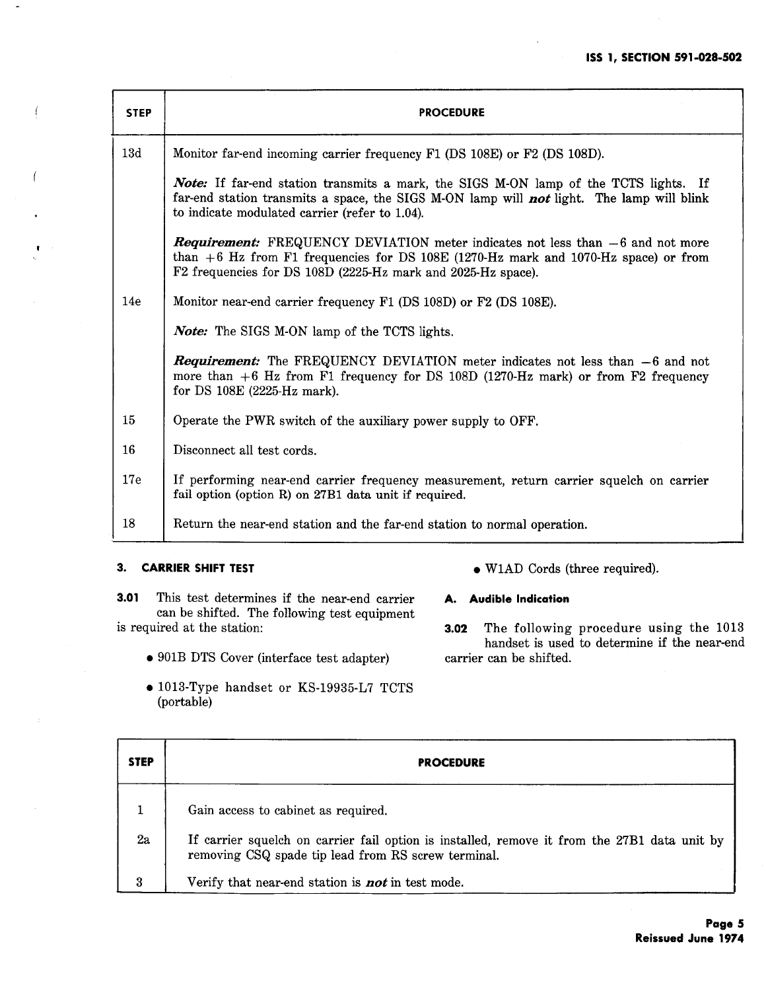| <b>STEP</b> | <b>PROCEDURE</b>                                                                                                                                                                                                                                 |
|-------------|--------------------------------------------------------------------------------------------------------------------------------------------------------------------------------------------------------------------------------------------------|
| 13d         | Monitor far-end incoming carrier frequency F1 (DS 108E) or F2 (DS 108D).                                                                                                                                                                         |
|             | <b>Note:</b> If far-end station transmits a mark, the SIGS M-ON lamp of the TCTS lights. If<br>far-end station transmits a space, the SIGS M-ON lamp will not light. The lamp will blink<br>to indicate modulated carrier (refer to 1.04).       |
|             | <b>Requirement:</b> FREQUENCY DEVIATION meter indicates not less than $-6$ and not more<br>than $+6$ Hz from F1 frequencies for DS 108E (1270-Hz mark and 1070-Hz space) or from<br>F2 frequencies for DS 108D (2225-Hz mark and 2025-Hz space). |
| 14e         | Monitor near-end carrier frequency F1 (DS 108D) or F2 (DS 108E).                                                                                                                                                                                 |
|             | <b>Note:</b> The SIGS M-ON lamp of the TCTS lights.                                                                                                                                                                                              |
|             | <b>Requirement:</b> The FREQUENCY DEVIATION meter indicates not less than -6 and not<br>more than $+6$ Hz from F1 frequency for DS 108D (1270-Hz mark) or from F2 frequency<br>for DS 108E (2225-Hz mark).                                       |
| 15          | Operate the PWR switch of the auxiliary power supply to OFF.                                                                                                                                                                                     |
| 16          | Disconnect all test cords.                                                                                                                                                                                                                       |
| 17e         | If performing near-end carrier frequency measurement, return carrier squelch on carrier<br>fail option (option R) on 27B1 data unit if required.                                                                                                 |
| 18          | Return the near-end station and the far-end station to normal operation.                                                                                                                                                                         |

# **3. CARRIER SHIFT TEST**

 $\overline{f}$ 

**3.01** This test determines if the near-end carrier can be shifted. The following test equipment is required at the station:

- 901B DTS Cover (interface test adapter)
- 1013-Type handset or KS-19935-L7 TCTS (portable)
- WlAD Cords (three required).
- **A. Audible Indication**

**3.02** The following procedure using the 1013 handset is used to determine if the near-end carrier can be shifted.

| <b>STEP</b> | <b>PROCEDURE</b>                                                                                                                                    |
|-------------|-----------------------------------------------------------------------------------------------------------------------------------------------------|
|             | Gain access to cabinet as required.                                                                                                                 |
| 2a          | If carrier squelch on carrier fail option is installed, remove it from the 27B1 data unit by<br>removing CSQ spade tip lead from RS screw terminal. |
| 3           | Verify that near-end station is <b>not</b> in test mode.                                                                                            |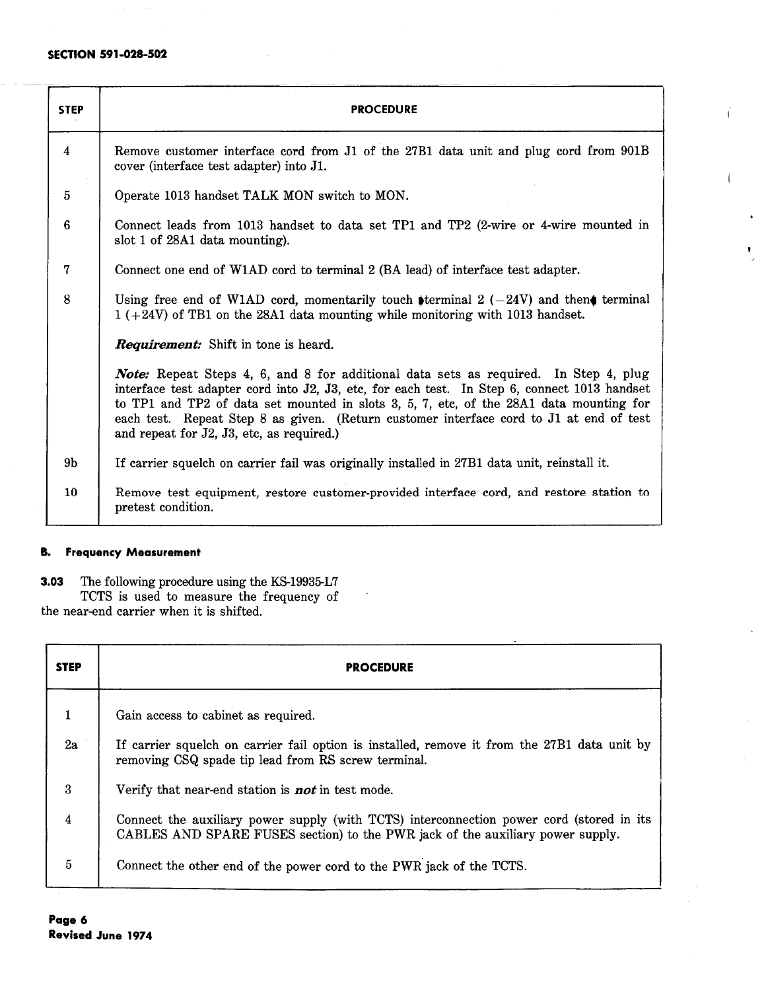| <b>STEP</b>         | <b>PROCEDURE</b>                                                                                                                                                                                                                                                                                                                                                                                                               |
|---------------------|--------------------------------------------------------------------------------------------------------------------------------------------------------------------------------------------------------------------------------------------------------------------------------------------------------------------------------------------------------------------------------------------------------------------------------|
| $\overline{\bf{4}}$ | Remove customer interface cord from J1 of the 27B1 data unit and plug cord from 901B<br>cover (interface test adapter) into J1.                                                                                                                                                                                                                                                                                                |
| $\overline{5}$      | Operate 1013 handset TALK MON switch to MON.                                                                                                                                                                                                                                                                                                                                                                                   |
| 6                   | Connect leads from 1013 handset to data set TP1 and TP2 (2-wire or 4-wire mounted in<br>slot 1 of 28A1 data mounting).                                                                                                                                                                                                                                                                                                         |
| $\overline{7}$      | Connect one end of W1AD cord to terminal 2 (BA lead) of interface test adapter.                                                                                                                                                                                                                                                                                                                                                |
| 8                   | Using free end of W1AD cord, momentarily touch terminal 2 $(-24V)$ and then terminal<br>$1 (+24V)$ of TB1 on the 28A1 data mounting while monitoring with 1013 handset.                                                                                                                                                                                                                                                        |
|                     | Requirement: Shift in tone is heard.                                                                                                                                                                                                                                                                                                                                                                                           |
|                     | <b>Note:</b> Repeat Steps 4, 6, and 8 for additional data sets as required. In Step 4, plug<br>interface test adapter cord into J2, J3, etc, for each test. In Step 6, connect 1013 handset<br>to TP1 and TP2 of data set mounted in slots 3, 5, 7, etc, of the 28A1 data mounting for<br>each test. Repeat Step 8 as given. (Return customer interface cord to J1 at end of test<br>and repeat for J2, J3, etc, as required.) |
| 9 <sub>b</sub>      | If carrier squelch on carrier fail was originally installed in 27B1 data unit, reinstall it.                                                                                                                                                                                                                                                                                                                                   |
| 10                  | Remove test equipment, restore customer-provided interface cord, and restore station to<br>pretest condition.                                                                                                                                                                                                                                                                                                                  |

# **B. Frequency Measurement**

**3.03** The following procedure using the KS-19935-L7

TCTS is used to measure the frequency of the near-end carrier when it is shifted.

| <b>STEP</b>      | <b>PROCEDURE</b>                                                                                                                                                           |
|------------------|----------------------------------------------------------------------------------------------------------------------------------------------------------------------------|
| $\mathbf 1$      | Gain access to cabinet as required.                                                                                                                                        |
| 2a               | If carrier squelch on carrier fail option is installed, remove it from the 27B1 data unit by<br>removing CSQ spade tip lead from RS screw terminal.                        |
| $\boldsymbol{3}$ | Verify that near-end station is <b>not</b> in test mode.                                                                                                                   |
| $\overline{4}$   | Connect the auxiliary power supply (with TCTS) interconnection power cord (stored in its<br>CABLES AND SPARE FUSES section) to the PWR jack of the auxiliary power supply. |
| $\overline{5}$   | Connect the other end of the power cord to the PWR jack of the TCTS.                                                                                                       |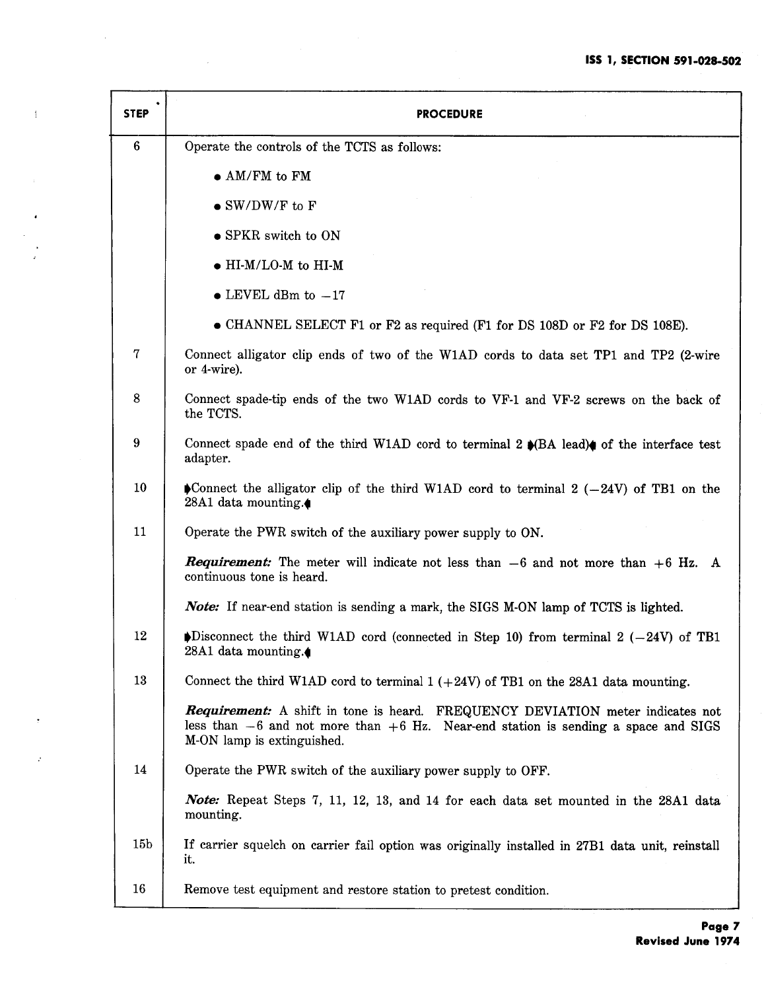| <b>STEP</b>     | <b>PROCEDURE</b>                                                                                                                                                                                              |
|-----------------|---------------------------------------------------------------------------------------------------------------------------------------------------------------------------------------------------------------|
| $6\phantom{.}6$ | Operate the controls of the TCTS as follows:                                                                                                                                                                  |
|                 | $\bullet$ AM/FM to FM                                                                                                                                                                                         |
|                 | $\bullet$ SW/DW/F to F                                                                                                                                                                                        |
|                 | • SPKR switch to ON                                                                                                                                                                                           |
|                 | $\bullet$ HI-M/LO-M to HI-M                                                                                                                                                                                   |
|                 | $\bullet$ LEVEL dBm to $-17$                                                                                                                                                                                  |
|                 | • CHANNEL SELECT F1 or F2 as required (F1 for DS 108D or F2 for DS 108E).                                                                                                                                     |
| $\mathbf 7$     | Connect alligator clip ends of two of the W1AD cords to data set TP1 and TP2 (2-wire<br>or 4-wire).                                                                                                           |
| 8               | Connect spade-tip ends of the two W1AD cords to VF-1 and VF-2 screws on the back of<br>the TCTS.                                                                                                              |
| 9               | Connect spade end of the third W1AD cord to terminal 2 $\bullet$ (BA lead) $\bullet$ of the interface test<br>adapter.                                                                                        |
| 10              | Connect the alligator clip of the third W1AD cord to terminal 2 $(-24V)$ of TB1 on the<br>28A1 data mounting.                                                                                                 |
| 11              | Operate the PWR switch of the auxiliary power supply to ON.                                                                                                                                                   |
|                 | <b>Requirement:</b> The meter will indicate not less than $-6$ and not more than $+6$ Hz. A<br>continuous tone is heard.                                                                                      |
|                 | <b>Note:</b> If near-end station is sending a mark, the SIGS M-ON lamp of TCTS is lighted.                                                                                                                    |
| 12              | $\blacktriangleright$ Disconnect the third W1AD cord (connected in Step 10) from terminal 2 (-24V) of TB1<br>28A1 data mounting.                                                                              |
| 13              | Connect the third W1AD cord to terminal $1 (+24V)$ of TB1 on the 28A1 data mounting.                                                                                                                          |
|                 | <b>Requirement:</b> A shift in tone is heard. FREQUENCY DEVIATION meter indicates not<br>less than $-6$ and not more than $+6$ Hz. Near-end station is sending a space and SIGS<br>M-ON lamp is extinguished. |
| 14              | Operate the PWR switch of the auxiliary power supply to OFF.                                                                                                                                                  |
|                 | <b>Note:</b> Repeat Steps 7, 11, 12, 13, and 14 for each data set mounted in the 28A1 data<br>mounting.                                                                                                       |
| 15 <sub>b</sub> | If carrier squelch on carrier fail option was originally installed in 27B1 data unit, reinstall<br>it.                                                                                                        |
| 16              | Remove test equipment and restore station to pretest condition.                                                                                                                                               |

 $\bar{\rm T}$ 

÷,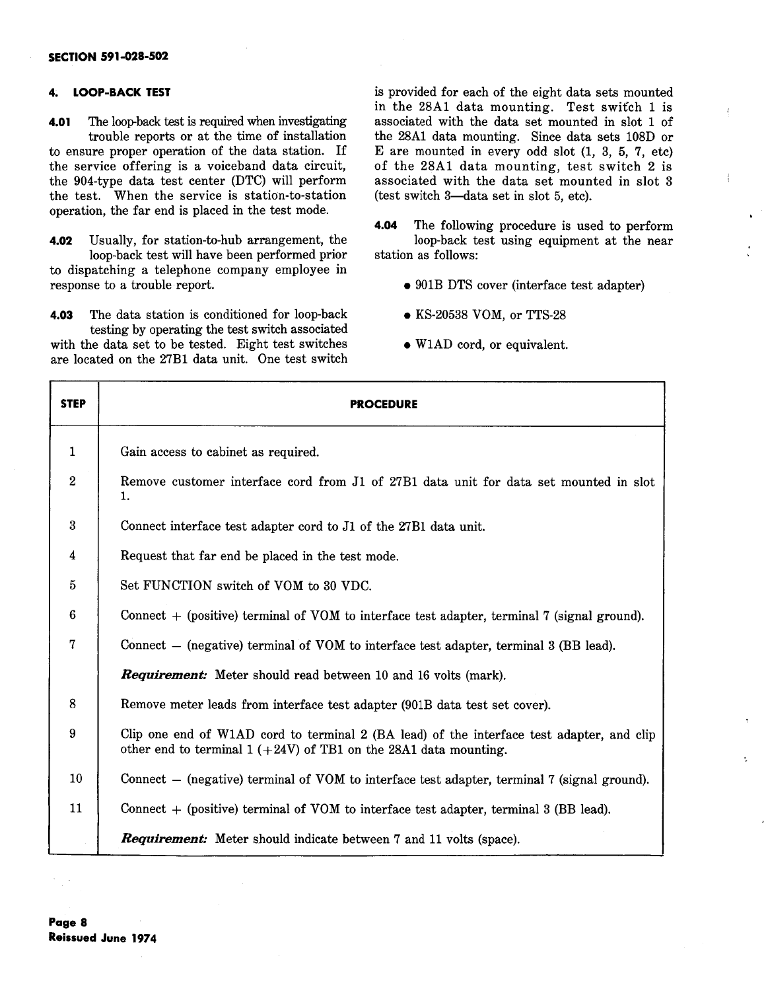#### 4. **LOOP-BACK TEST**

**4.01** The loop-back test is required when investigating trouble reports or at the time of installation to ensure proper operation of the data station. If the service offering is a voiceband data circuit, the 904-type data test center (DTC) will perform the test. When the service is station-to-station operation, the far end is placed in the test mode.

**4.02** Usually, for station-to-hub arrangement, the loop-back test will have been performed prior

to dispatching a telephone company employee in response to a trouble report.

**4.03** The data station is conditioned for loop-back testing by operating the test switch associated with the data set to be tested. Eight test switches are located on the 27Bl data unit. One test switch is provided for each of the eight data sets mounted in the 28Al data mounting. Test switch 1 is associated with the data set mounted in slot 1 of the 28A1 data mounting. Since data sets 108D or E are mounted in every odd slot (1, 3, 5, 7, etc) of the 28Al data mounting, test switch 2 is associated with the data set mounted in slot 3 (test switch 3-data set in slot 5, etc).

- **4.04** The following procedure is used to perform loop-back test using equipment at the near station as follows:
	- 901B DTS cover (interface test adapter)
	- KS-20538 VOM, or TTS-28
	- W1AD cord, or equivalent.

| <b>STEP</b>      | <b>PROCEDURE</b>                                                                                                                                                |
|------------------|-----------------------------------------------------------------------------------------------------------------------------------------------------------------|
| $\mathbf 1$      | Gain access to cabinet as required.                                                                                                                             |
| $\boldsymbol{2}$ | Remove customer interface cord from J1 of 27B1 data unit for data set mounted in slot<br>1.                                                                     |
| $\boldsymbol{3}$ | Connect interface test adapter cord to J1 of the 27B1 data unit.                                                                                                |
| 4                | Request that far end be placed in the test mode.                                                                                                                |
| 5                | Set FUNCTION switch of VOM to 30 VDC.                                                                                                                           |
| 6                | Connect $+$ (positive) terminal of VOM to interface test adapter, terminal 7 (signal ground).                                                                   |
| 7                | Connect – (negative) terminal of VOM to interface test adapter, terminal 3 (BB lead).                                                                           |
|                  | <b>Requirement:</b> Meter should read between 10 and 16 volts (mark).                                                                                           |
| 8                | Remove meter leads from interface test adapter (901B data test set cover).                                                                                      |
| 9                | Clip one end of W1AD cord to terminal 2 (BA lead) of the interface test adapter, and clip<br>other end to terminal $1 (+24V)$ of TB1 on the 28A1 data mounting. |
| 10               | Connect – (negative) terminal of VOM to interface test adapter, terminal 7 (signal ground).                                                                     |
| 11               | Connect $+$ (positive) terminal of VOM to interface test adapter, terminal 3 (BB lead).                                                                         |
|                  | <b>Requirement:</b> Meter should indicate between 7 and 11 volts (space).                                                                                       |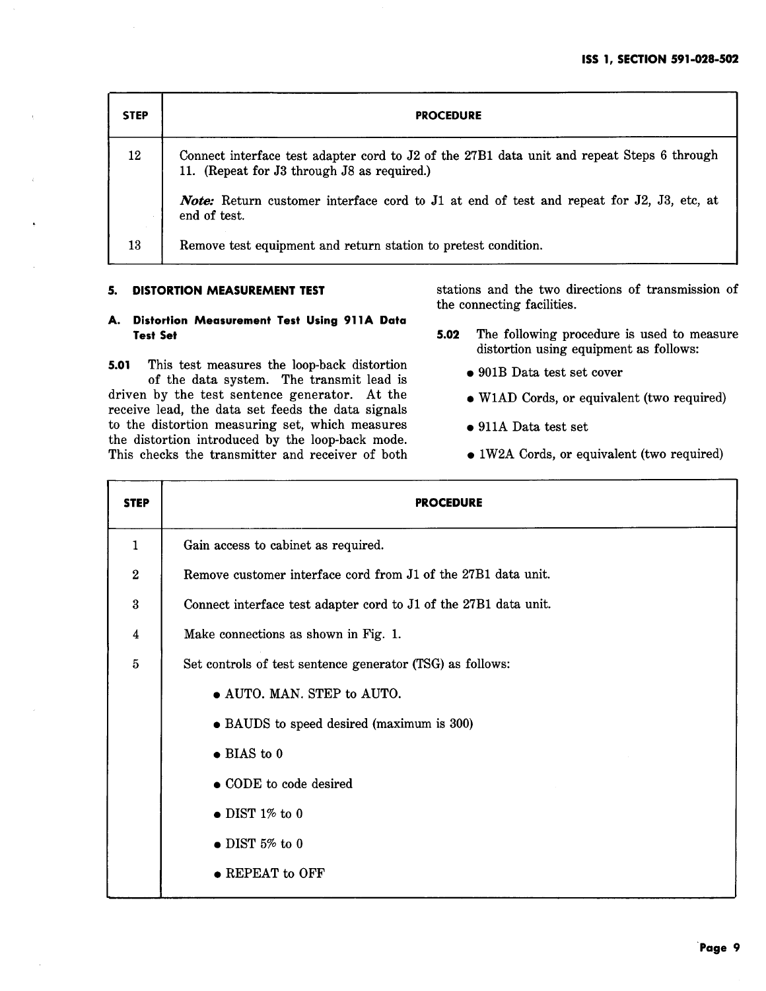| <b>STEP</b> | <b>PROCEDURE</b>                                                                                                                          |  |  |  |  |
|-------------|-------------------------------------------------------------------------------------------------------------------------------------------|--|--|--|--|
| 12          | Connect interface test adapter cord to J2 of the 27B1 data unit and repeat Steps 6 through<br>11. (Repeat for J3 through J8 as required.) |  |  |  |  |
|             | <b>Note:</b> Return customer interface cord to J1 at end of test and repeat for J2, J3, etc, at<br>end of test.                           |  |  |  |  |
| 13          | Remove test equipment and return station to pretest condition.                                                                            |  |  |  |  |

#### **5. DISTORTION MEASUREMENT TEST**

stations and the two directions of transmission of the connecting facilities.

# **A. Distortion Measurement Test Using 911A Data Test Set**

**5.01** This test measures the loop-back distortion of the data system. The transmit lead is driven by the test sentence generator. At the receive lead, the data set feeds the data signals to the distortion measuring set, which measures the distortion introduced by the loop-back mode. This checks the transmitter and receiver of both

- **5.02** The following procedure is used to measure distortion using equipment as follows:
	- 901B Data test set cover
	- W1AD Cords, or equivalent (two required)
	- 911A Data test set
	- 1 W2A Cords, or equivalent (two required)

| <b>STEP</b>             | <b>PROCEDURE</b>                                                 |  |  |  |  |
|-------------------------|------------------------------------------------------------------|--|--|--|--|
| $\mathbf{1}$            | Gain access to cabinet as required.                              |  |  |  |  |
| $\overline{2}$          | Remove customer interface cord from J1 of the 27B1 data unit.    |  |  |  |  |
| $\boldsymbol{3}$        | Connect interface test adapter cord to J1 of the 27B1 data unit. |  |  |  |  |
| $\overline{\mathbf{4}}$ | Make connections as shown in Fig. 1.                             |  |  |  |  |
| $\overline{5}$          | Set controls of test sentence generator (TSG) as follows:        |  |  |  |  |
|                         | • AUTO. MAN. STEP to AUTO.                                       |  |  |  |  |
|                         | • BAUDS to speed desired (maximum is 300)                        |  |  |  |  |
|                         | $\bullet$ BIAS to 0                                              |  |  |  |  |
|                         | • CODE to code desired                                           |  |  |  |  |
|                         | $\bullet$ DIST 1% to 0                                           |  |  |  |  |
|                         | $\bullet$ DIST 5% to 0                                           |  |  |  |  |
|                         | $\bullet$ REPEAT to OFF                                          |  |  |  |  |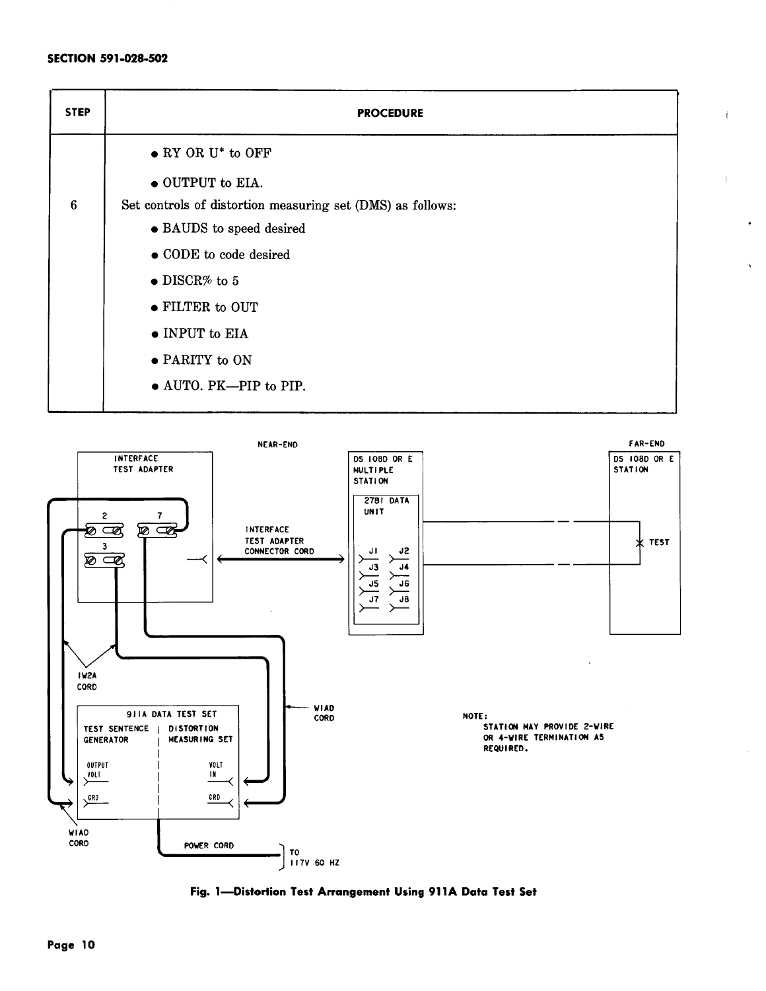| <b>STEP</b>     | <b>PROCEDURE</b>                                           |  |  |  |  |
|-----------------|------------------------------------------------------------|--|--|--|--|
|                 | $\bullet$ RY OR U <sup>*</sup> to OFF                      |  |  |  |  |
|                 | $\bullet$ OUTPUT to EIA.                                   |  |  |  |  |
| $6\phantom{1}6$ | Set controls of distortion measuring set (DMS) as follows: |  |  |  |  |
|                 | • BAUDS to speed desired                                   |  |  |  |  |
|                 | • CODE to code desired                                     |  |  |  |  |
|                 | $\bullet$ DISCR% to 5                                      |  |  |  |  |
|                 | • FILTER to OUT                                            |  |  |  |  |
|                 | $\bullet$ INPUT to EIA                                     |  |  |  |  |
|                 | • PARITY to ON                                             |  |  |  |  |
|                 | • AUTO. PK-PIP to PIP.                                     |  |  |  |  |

 $\mathfrak i$ 

 $\bullet$ 

Ä.



**Fig. 1-Distortion Test Arrangement Using 911A Data Test Set**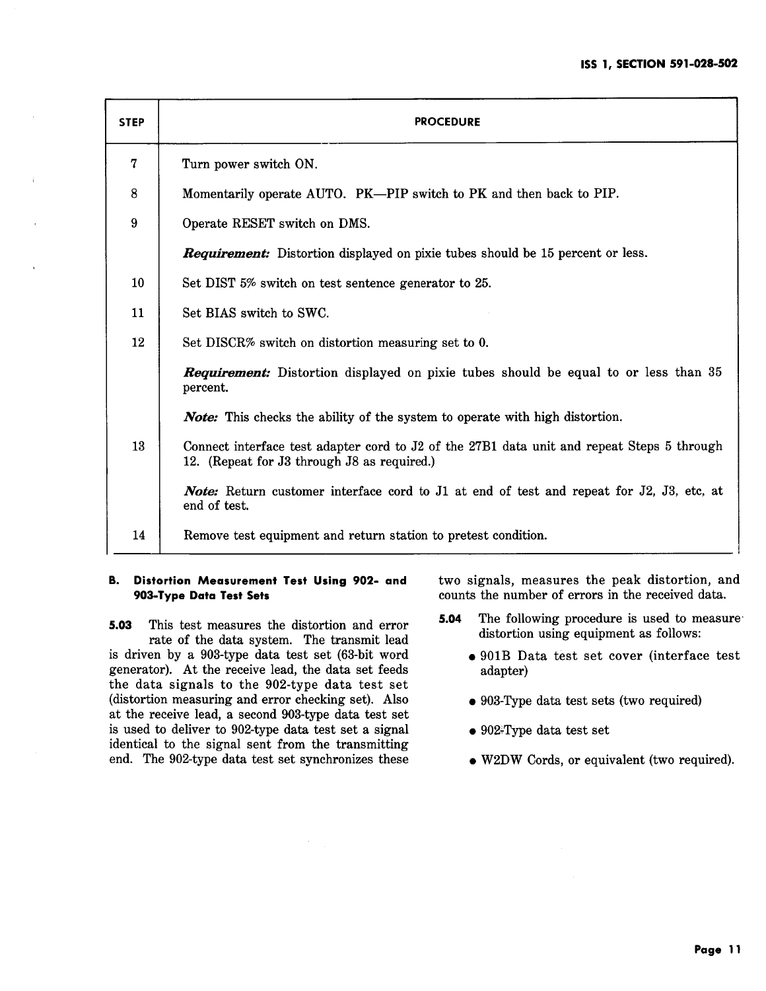| <b>STEP</b> | <b>PROCEDURE</b>                                                                                                                          |  |  |  |  |
|-------------|-------------------------------------------------------------------------------------------------------------------------------------------|--|--|--|--|
| 7           | Turn power switch ON.                                                                                                                     |  |  |  |  |
| 8           | Momentarily operate AUTO. PK—PIP switch to PK and then back to PIP.                                                                       |  |  |  |  |
| 9           | Operate RESET switch on DMS.                                                                                                              |  |  |  |  |
|             | <b>Requirement:</b> Distortion displayed on pixie tubes should be 15 percent or less.                                                     |  |  |  |  |
| 10          | Set DIST 5% switch on test sentence generator to 25.                                                                                      |  |  |  |  |
| 11          | Set BIAS switch to SWC.                                                                                                                   |  |  |  |  |
| 12          | Set DISCR% switch on distortion measuring set to 0.                                                                                       |  |  |  |  |
|             | <b>Requirement:</b> Distortion displayed on pixie tubes should be equal to or less than 35<br>percent.                                    |  |  |  |  |
|             | <b>Note:</b> This checks the ability of the system to operate with high distortion.                                                       |  |  |  |  |
| 13          | Connect interface test adapter cord to J2 of the 27B1 data unit and repeat Steps 5 through<br>12. (Repeat for J3 through J8 as required.) |  |  |  |  |
|             | <b>Note:</b> Return customer interface cord to J1 at end of test and repeat for J2, J3, etc, at<br>end of test.                           |  |  |  |  |
| 14          | Remove test equipment and return station to pretest condition.                                                                            |  |  |  |  |

# **B. Distortion Measurement Test Using 902- and 903-Type Data Test Sets**

**5.03** This test measures the distortion and error rate of the data system. The transmit lead is driven by a 903-type data test set (63-bit word generator). At the receive lead, the data set feeds the data signals to the 902-type data test set (distortion measuring and error checking set). Also at the receive lead, a second 903-type data test set is used to deliver to 902-type data test set a signal identical to the signal sent from the transmitting end. The 902-type data test set synchronizes these two signals, measures the peak distortion, and counts the number of errors in the received data.

- **5.04** The following procedure is used to measure· distortion using equipment as follows:
	- 901B Data test set cover (interface test adapter)
	- 903-Type data test sets (two required)
	- 902~Type data test set
	- W2DW Cords, or equivalent (two required).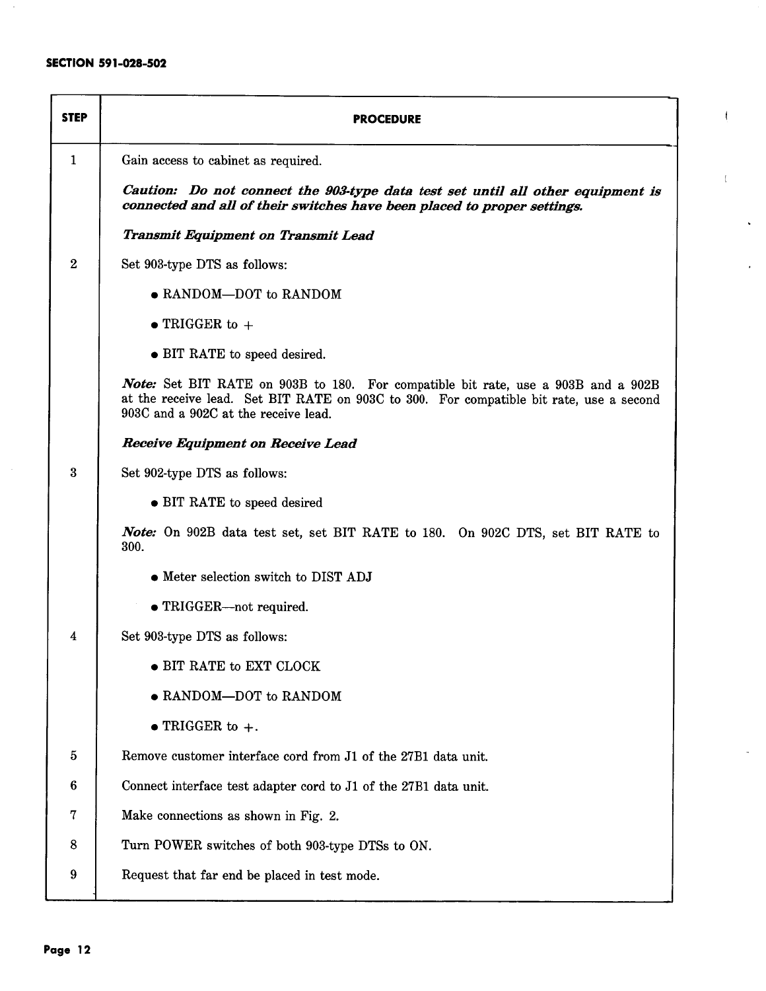| <b>STEP</b>      | <b>PROCEDURE</b>                                                                                                                                                                                                     |  |  |  |  |  |
|------------------|----------------------------------------------------------------------------------------------------------------------------------------------------------------------------------------------------------------------|--|--|--|--|--|
| $\mathbf{1}$     | Gain access to cabinet as required.                                                                                                                                                                                  |  |  |  |  |  |
|                  | Caution: Do not connect the 903-type data test set until all other equipment is<br>connected and all of their switches have been placed to proper settings.                                                          |  |  |  |  |  |
|                  | <b>Transmit Equipment on Transmit Lead</b>                                                                                                                                                                           |  |  |  |  |  |
| $\boldsymbol{2}$ | Set 903-type DTS as follows:                                                                                                                                                                                         |  |  |  |  |  |
|                  | • RANDOM-DOT to RANDOM                                                                                                                                                                                               |  |  |  |  |  |
|                  | $\bullet$ TRIGGER to $+$                                                                                                                                                                                             |  |  |  |  |  |
|                  | • BIT RATE to speed desired.                                                                                                                                                                                         |  |  |  |  |  |
|                  | Note: Set BIT RATE on 903B to 180. For compatible bit rate, use a 903B and a 902B<br>at the receive lead. Set BIT RATE on 903C to 300. For compatible bit rate, use a second<br>903C and a 902C at the receive lead. |  |  |  |  |  |
|                  | <b>Receive Equipment on Receive Lead</b>                                                                                                                                                                             |  |  |  |  |  |
| 3                | Set 902-type DTS as follows:                                                                                                                                                                                         |  |  |  |  |  |
|                  | • BIT RATE to speed desired                                                                                                                                                                                          |  |  |  |  |  |
|                  | Note: On 902B data test set, set BIT RATE to 180. On 902C DTS, set BIT RATE to<br>300.                                                                                                                               |  |  |  |  |  |
|                  | • Meter selection switch to DIST ADJ                                                                                                                                                                                 |  |  |  |  |  |
|                  | • TRIGGER-not required.                                                                                                                                                                                              |  |  |  |  |  |
| 4                | Set 903-type DTS as follows:                                                                                                                                                                                         |  |  |  |  |  |
|                  | • BIT RATE to EXT CLOCK                                                                                                                                                                                              |  |  |  |  |  |
|                  | • RANDOM-DOT to RANDOM                                                                                                                                                                                               |  |  |  |  |  |
|                  | $\bullet$ TRIGGER to $+$ .                                                                                                                                                                                           |  |  |  |  |  |
| $\bf 5$          | Remove customer interface cord from J1 of the 27B1 data unit.                                                                                                                                                        |  |  |  |  |  |
| 6                | Connect interface test adapter cord to J1 of the 27B1 data unit.                                                                                                                                                     |  |  |  |  |  |
| 7                | Make connections as shown in Fig. 2.                                                                                                                                                                                 |  |  |  |  |  |
| 8                | Turn POWER switches of both 903-type DTSs to ON.                                                                                                                                                                     |  |  |  |  |  |
| 9                | Request that far end be placed in test mode.                                                                                                                                                                         |  |  |  |  |  |
|                  |                                                                                                                                                                                                                      |  |  |  |  |  |

 $\mathbf{f}$ 

 $\left\{ \right.$ 

 $\ddot{\phantom{a}}$ 

 $\cdot$ 

à,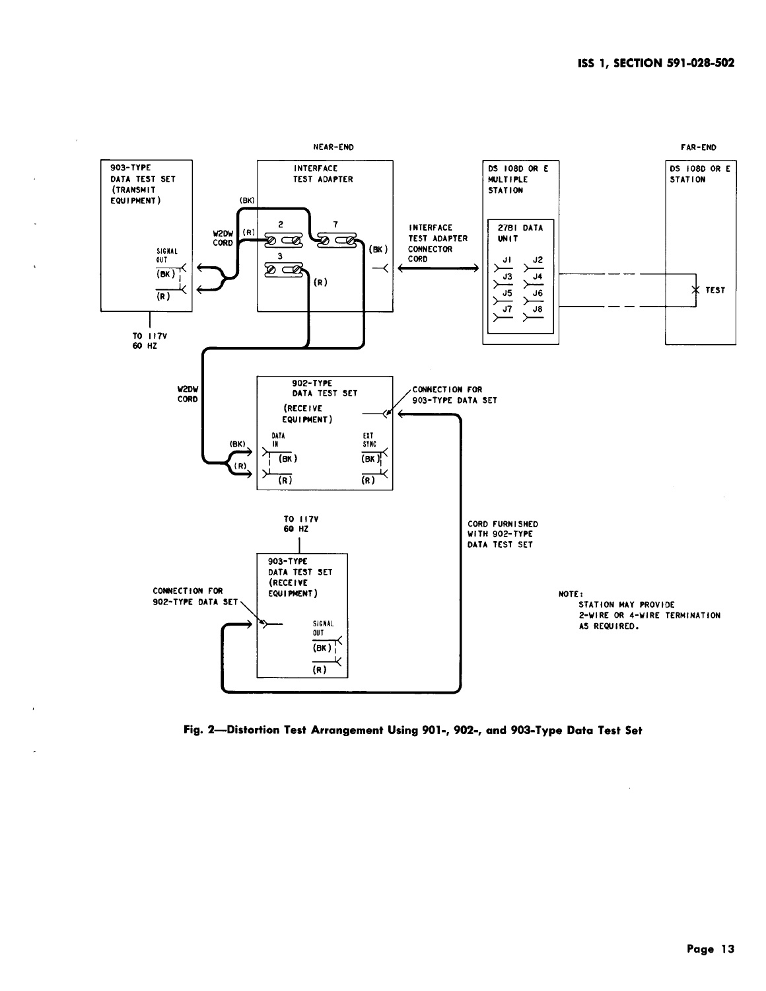

**Fig. 2-Distortion Test Arrangement Using 901-, 902-, and 903-Type Data Test Set**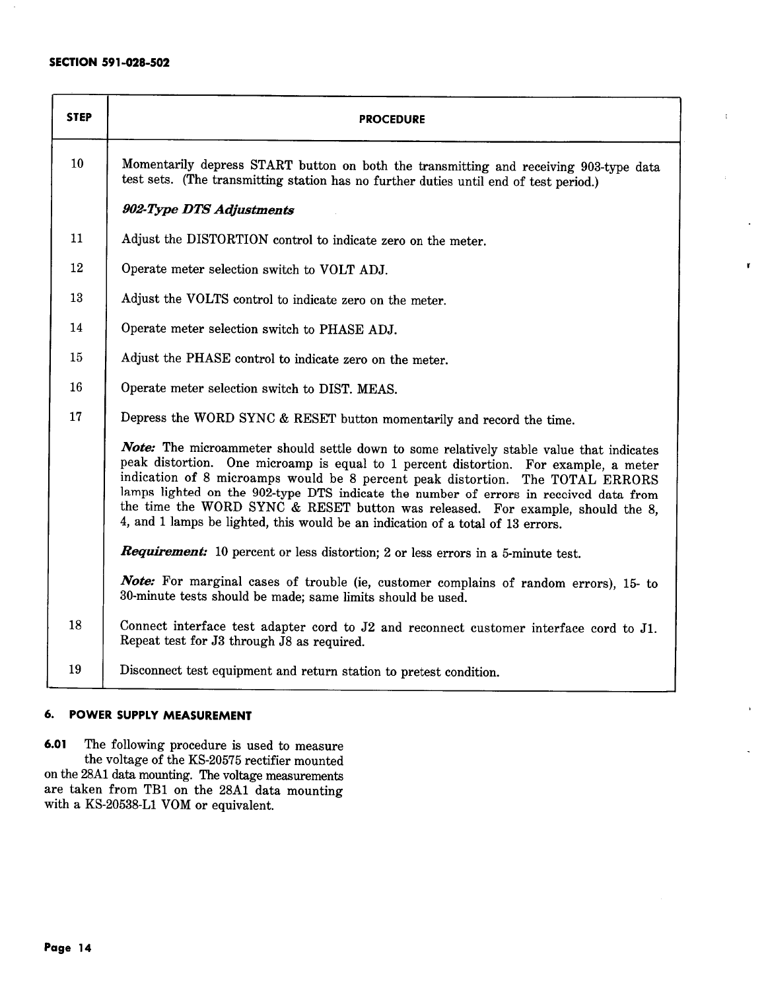| <b>STEP</b>     | <b>PROCEDURE</b>                                                                                                                                                                                                                                                                                                                                                                                                                                                                                                                 |  |  |  |  |  |
|-----------------|----------------------------------------------------------------------------------------------------------------------------------------------------------------------------------------------------------------------------------------------------------------------------------------------------------------------------------------------------------------------------------------------------------------------------------------------------------------------------------------------------------------------------------|--|--|--|--|--|
| 10 <sup>°</sup> | Momentarily depress START button on both the transmitting and receiving 903-type data<br>test sets. (The transmitting station has no further duties until end of test period.)                                                                                                                                                                                                                                                                                                                                                   |  |  |  |  |  |
|                 | 902-Type DTS Adjustments                                                                                                                                                                                                                                                                                                                                                                                                                                                                                                         |  |  |  |  |  |
| 11              | Adjust the DISTORTION control to indicate zero on the meter.                                                                                                                                                                                                                                                                                                                                                                                                                                                                     |  |  |  |  |  |
| 12              | Operate meter selection switch to VOLT ADJ.                                                                                                                                                                                                                                                                                                                                                                                                                                                                                      |  |  |  |  |  |
| 13              | Adjust the VOLTS control to indicate zero on the meter.                                                                                                                                                                                                                                                                                                                                                                                                                                                                          |  |  |  |  |  |
| 14              | Operate meter selection switch to PHASE ADJ.                                                                                                                                                                                                                                                                                                                                                                                                                                                                                     |  |  |  |  |  |
| 15              | Adjust the PHASE control to indicate zero on the meter.                                                                                                                                                                                                                                                                                                                                                                                                                                                                          |  |  |  |  |  |
| 16              | Operate meter selection switch to DIST. MEAS.                                                                                                                                                                                                                                                                                                                                                                                                                                                                                    |  |  |  |  |  |
| 17              | Depress the WORD SYNC & RESET button momentarily and record the time.                                                                                                                                                                                                                                                                                                                                                                                                                                                            |  |  |  |  |  |
|                 | Note: The microammeter should settle down to some relatively stable value that indicates<br>peak distortion. One microamp is equal to 1 percent distortion. For example, a meter<br>indication of 8 microamps would be 8 percent peak distortion. The TOTAL ERRORS<br>lamps lighted on the 902-type DTS indicate the number of errors in received data from<br>the time the WORD SYNC & RESET button was released. For example, should the 8,<br>4, and 1 lamps be lighted, this would be an indication of a total of 13 errors. |  |  |  |  |  |
|                 | Requirement: 10 percent or less distortion; 2 or less errors in a 5-minute test.                                                                                                                                                                                                                                                                                                                                                                                                                                                 |  |  |  |  |  |
|                 | Note: For marginal cases of trouble (ie, customer complains of random errors), 15- to<br>30-minute tests should be made; same limits should be used.                                                                                                                                                                                                                                                                                                                                                                             |  |  |  |  |  |
| 18              | Connect interface test adapter cord to J2 and reconnect customer interface cord to J1.<br>Repeat test for J3 through J8 as required.                                                                                                                                                                                                                                                                                                                                                                                             |  |  |  |  |  |
| 19              | Disconnect test equipment and return station to pretest condition.                                                                                                                                                                                                                                                                                                                                                                                                                                                               |  |  |  |  |  |

۲

# **6. POWER SUPPLY MEASUREMENT**

**6.01** The following procedure is used to measure the voltage of the KS-20575 rectifier mounted on the 28A1 data mounting. The voltage measurements are taken from TB1 on the 28A1 data mounting with a KS-20538-L1 VOM or equivalent.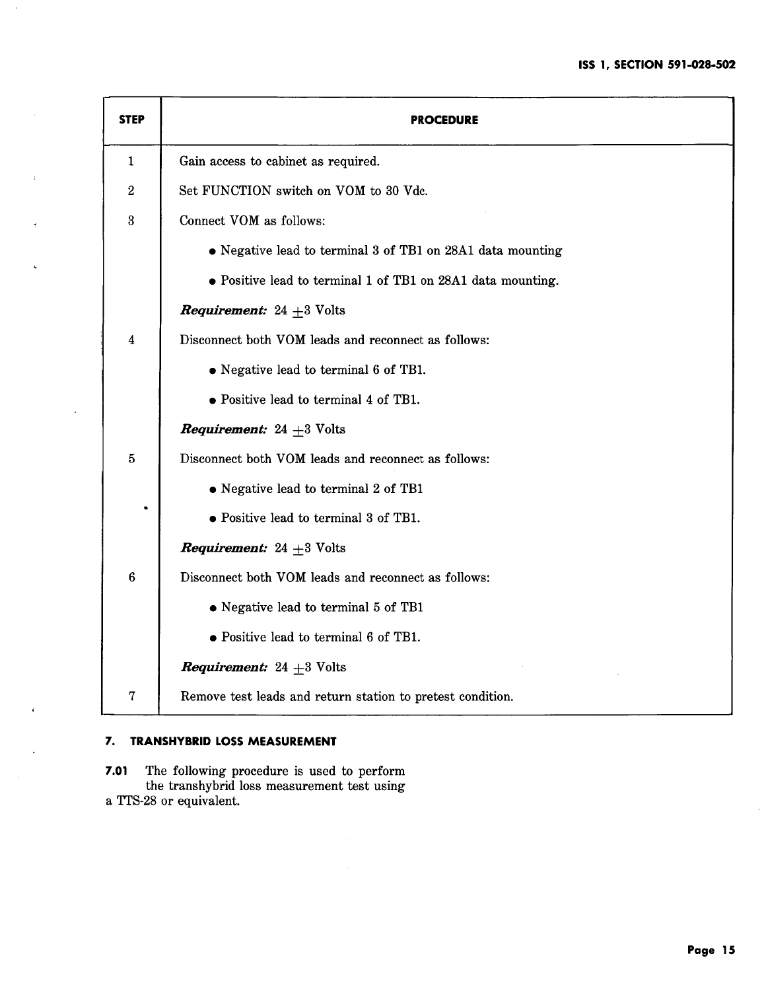| <b>STEP</b>      | <b>PROCEDURE</b>                                            |  |  |  |  |
|------------------|-------------------------------------------------------------|--|--|--|--|
| $\mathbf{1}$     | Gain access to cabinet as required.                         |  |  |  |  |
| $\boldsymbol{2}$ | Set FUNCTION switch on VOM to 30 Vdc.                       |  |  |  |  |
| $\boldsymbol{3}$ | Connect VOM as follows:                                     |  |  |  |  |
|                  | • Negative lead to terminal 3 of TB1 on 28A1 data mounting  |  |  |  |  |
|                  | • Positive lead to terminal 1 of TB1 on 28A1 data mounting. |  |  |  |  |
|                  | <b>Requirement:</b> 24 $\pm$ 3 Volts                        |  |  |  |  |
| $\boldsymbol{4}$ | Disconnect both VOM leads and reconnect as follows:         |  |  |  |  |
|                  | • Negative lead to terminal 6 of TB1.                       |  |  |  |  |
|                  | • Positive lead to terminal 4 of TB1.                       |  |  |  |  |
|                  | <b>Requirement:</b> 24 $+3$ Volts                           |  |  |  |  |
| $\overline{5}$   | Disconnect both VOM leads and reconnect as follows:         |  |  |  |  |
|                  | • Negative lead to terminal 2 of TB1                        |  |  |  |  |
| ۰                | • Positive lead to terminal 3 of TB1.                       |  |  |  |  |
|                  | <b>Requirement:</b> 24 $+3$ Volts                           |  |  |  |  |
| $6\phantom{.}6$  | Disconnect both VOM leads and reconnect as follows:         |  |  |  |  |
|                  | • Negative lead to terminal 5 of TB1                        |  |  |  |  |
|                  | • Positive lead to terminal 6 of TB1.                       |  |  |  |  |
|                  | <i>Requirement:</i> 24 $+3$ Volts                           |  |  |  |  |
| 7                | Remove test leads and return station to pretest condition.  |  |  |  |  |

# **7. TRANSHYBRID LOSS MEASUREMENT**

**7.01** The following procedure is used to perform the transhybrid loss measurement test using a TTS-28 or equivalent.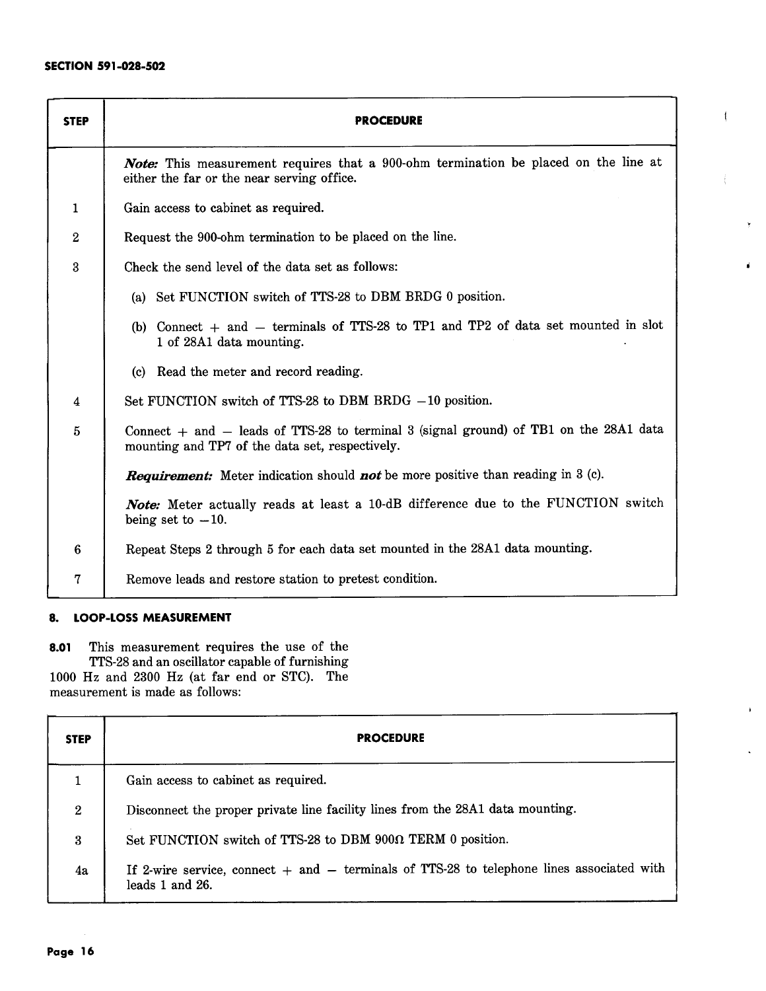| <b>STEP</b>             | <b>PROCEDURE</b>                                                                                                                             |  |  |  |  |
|-------------------------|----------------------------------------------------------------------------------------------------------------------------------------------|--|--|--|--|
|                         | Note: This measurement requires that a 900-ohm termination be placed on the line at<br>either the far or the near serving office.            |  |  |  |  |
| $\mathbf{1}$            | Gain access to cabinet as required.                                                                                                          |  |  |  |  |
| $\boldsymbol{2}$        | Request the 900-ohm termination to be placed on the line.                                                                                    |  |  |  |  |
| $\overline{\mathbf{3}}$ | Check the send level of the data set as follows:                                                                                             |  |  |  |  |
|                         | (a) Set FUNCTION switch of TTS-28 to DBM BRDG 0 position.                                                                                    |  |  |  |  |
|                         | (b) Connect $+$ and $-$ terminals of TTS-28 to TP1 and TP2 of data set mounted in slot<br>1 of 28A1 data mounting.                           |  |  |  |  |
|                         | (c) Read the meter and record reading.                                                                                                       |  |  |  |  |
| $\overline{\mathbf{4}}$ | Set FUNCTION switch of TTS-28 to DBM BRDG $-10$ position.                                                                                    |  |  |  |  |
| $\overline{5}$          | Connect $+$ and $-$ leads of TTS-28 to terminal 3 (signal ground) of TB1 on the 28A1 data<br>mounting and TP7 of the data set, respectively. |  |  |  |  |
|                         | <b>Requirement:</b> Meter indication should <b>not</b> be more positive than reading in 3 (c).                                               |  |  |  |  |
|                         | Note: Meter actually reads at least a 10-dB difference due to the FUNCTION switch<br>being set to $-10$ .                                    |  |  |  |  |
| $\bf{6}$                | Repeat Steps 2 through 5 for each data set mounted in the 28A1 data mounting.                                                                |  |  |  |  |
| 7                       | Remove leads and restore station to pretest condition.                                                                                       |  |  |  |  |

 $\overline{1}$ 

# **8. LOOP-LOSS MEASUREMENT**

**8.01** This measurement requires the use of the TTS-28 and an oscillator capable of furnishing 1000 Hz and 2300 Hz (at far end or STC). The measurement is made as follows:

| <b>STEP</b>  | <b>PROCEDURE</b>                                                                                                 |  |  |  |
|--------------|------------------------------------------------------------------------------------------------------------------|--|--|--|
| 1            | Gain access to cabinet as required.                                                                              |  |  |  |
| $\mathbf{2}$ | Disconnect the proper private line facility lines from the 28A1 data mounting.                                   |  |  |  |
| 3            | Set FUNCTION switch of TTS-28 to DBM 900 $\Omega$ TERM 0 position.                                               |  |  |  |
| 4a           | If 2-wire service, connect $+$ and $-$ terminals of TTS-28 to telephone lines associated with<br>leads 1 and 26. |  |  |  |

 $\mathcal{L}$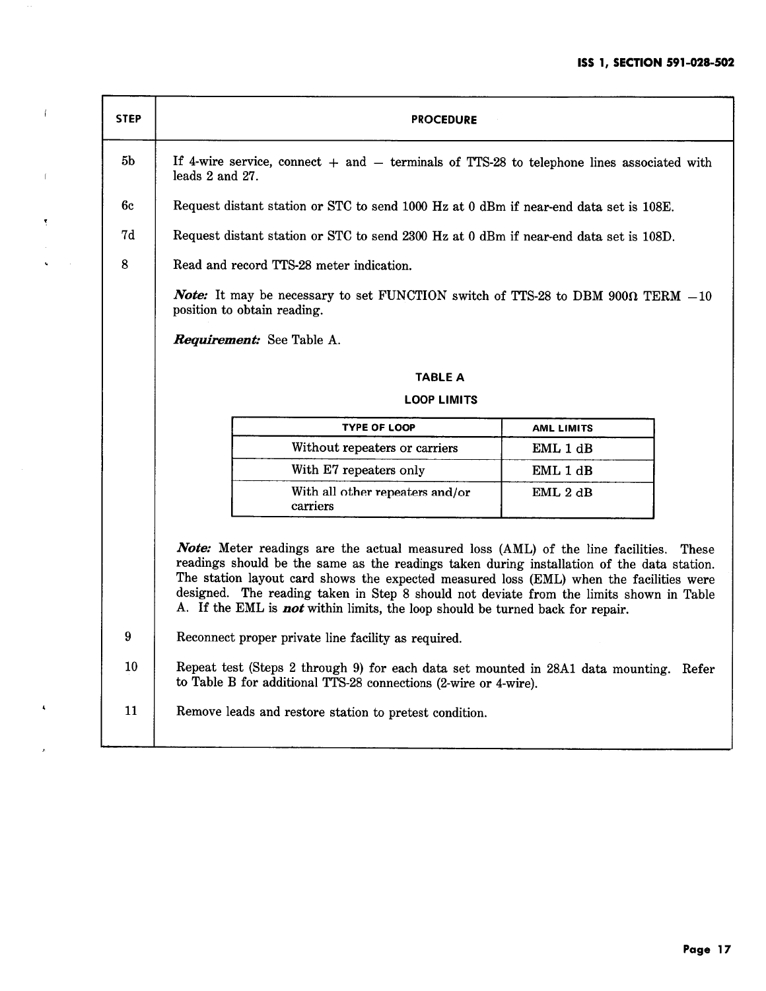| <b>STEP</b>   | <b>PROCEDURE</b>                                                                                                                                                                                                                                                                                                                                                                                                                                                                                                                                                                                                                                                                                                                                            |                   |  |  |  |
|---------------|-------------------------------------------------------------------------------------------------------------------------------------------------------------------------------------------------------------------------------------------------------------------------------------------------------------------------------------------------------------------------------------------------------------------------------------------------------------------------------------------------------------------------------------------------------------------------------------------------------------------------------------------------------------------------------------------------------------------------------------------------------------|-------------------|--|--|--|
| 5b            | If 4-wire service, connect $+$ and $-$ terminals of TTS-28 to telephone lines associated with<br>leads 2 and 27.                                                                                                                                                                                                                                                                                                                                                                                                                                                                                                                                                                                                                                            |                   |  |  |  |
| 6c            | Request distant station or STC to send 1000 Hz at 0 dBm if near-end data set is 108E.                                                                                                                                                                                                                                                                                                                                                                                                                                                                                                                                                                                                                                                                       |                   |  |  |  |
| 7d            | Request distant station or STC to send 2300 Hz at 0 dBm if near-end data set is 108D.                                                                                                                                                                                                                                                                                                                                                                                                                                                                                                                                                                                                                                                                       |                   |  |  |  |
| 8             | Read and record TTS-28 meter indication.                                                                                                                                                                                                                                                                                                                                                                                                                                                                                                                                                                                                                                                                                                                    |                   |  |  |  |
|               | <i>Note:</i> It may be necessary to set FUNCTION switch of TTS-28 to DBM 900 $\Omega$ TERM $-10$<br>position to obtain reading.                                                                                                                                                                                                                                                                                                                                                                                                                                                                                                                                                                                                                             |                   |  |  |  |
|               | Requirement: See Table A.                                                                                                                                                                                                                                                                                                                                                                                                                                                                                                                                                                                                                                                                                                                                   |                   |  |  |  |
|               | <b>TABLE A</b>                                                                                                                                                                                                                                                                                                                                                                                                                                                                                                                                                                                                                                                                                                                                              |                   |  |  |  |
|               | <b>LOOP LIMITS</b>                                                                                                                                                                                                                                                                                                                                                                                                                                                                                                                                                                                                                                                                                                                                          |                   |  |  |  |
|               | <b>TYPE OF LOOP</b>                                                                                                                                                                                                                                                                                                                                                                                                                                                                                                                                                                                                                                                                                                                                         | <b>AML LIMITS</b> |  |  |  |
|               | Without repeaters or carriers                                                                                                                                                                                                                                                                                                                                                                                                                                                                                                                                                                                                                                                                                                                               | EML1dB            |  |  |  |
|               | With E7 repeaters only                                                                                                                                                                                                                                                                                                                                                                                                                                                                                                                                                                                                                                                                                                                                      | EML 1 dB          |  |  |  |
|               | With all other repeaters and/or<br>carriers                                                                                                                                                                                                                                                                                                                                                                                                                                                                                                                                                                                                                                                                                                                 | EML 2 dB          |  |  |  |
| 9<br>10<br>11 | <b>Note:</b> Meter readings are the actual measured loss (AML) of the line facilities.<br>These<br>readings should be the same as the readings taken during installation of the data station.<br>The station layout card shows the expected measured loss (EML) when the facilities were<br>designed. The reading taken in Step 8 should not deviate from the limits shown in Table<br>A. If the EML is <b>not</b> within limits, the loop should be turned back for repair.<br>Reconnect proper private line facility as required.<br>Repeat test (Steps 2 through 9) for each data set mounted in 28A1 data mounting. Refer<br>to Table B for additional TTS-28 connections (2-wire or 4-wire).<br>Remove leads and restore station to pretest condition. |                   |  |  |  |

 $\alpha$ 

 $\left($ 

 $\mathbb{I}$ 

 $\tilde{\xi}$ 

 $\ddot{\phantom{0}}$ 

 $\blacktriangleleft$ 

 $\lambda$